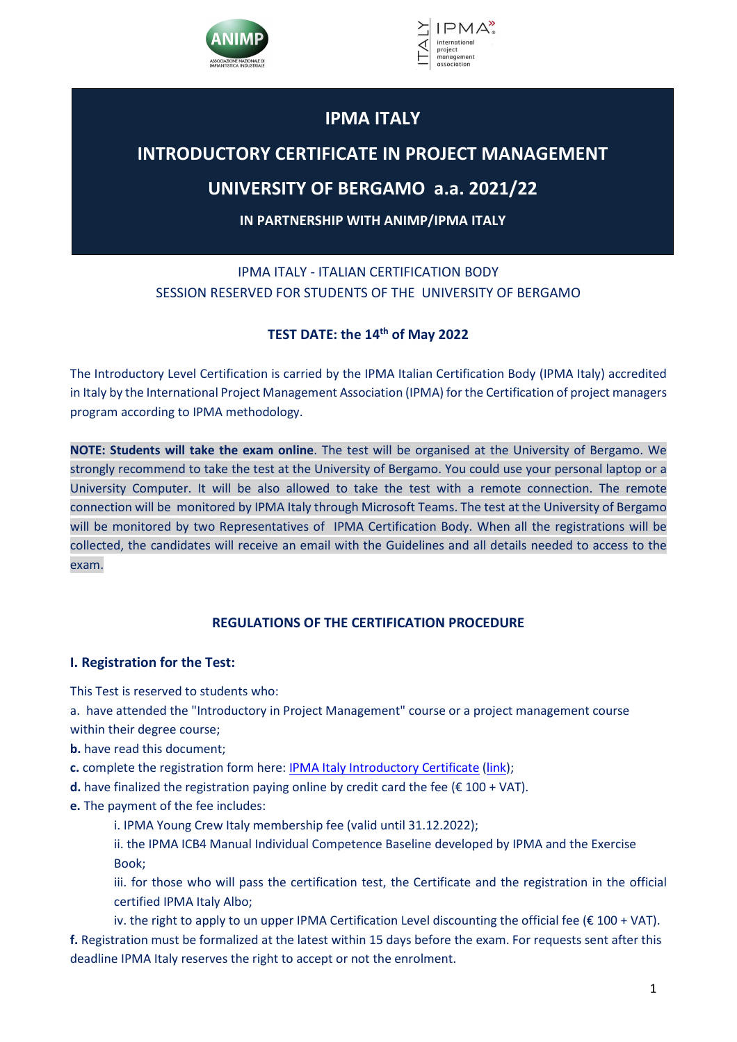



# **IPMA ITALY**

# **INTRODUCTORY CERTIFICATE IN PROJECT MANAGEMENT**

# **UNIVERSITY OF BERGAMO a.a. 2021/22**

**IN PARTNERSHIP WITH ANIMP/IPMA ITALY**

IPMA ITALY - ITALIAN CERTIFICATION BODY SESSION RESERVED FOR STUDENTS OF THE UNIVERSITY OF BERGAMO

# **TEST DATE: the 14th of May 2022**

The Introductory Level Certification is carried by the IPMA Italian Certification Body (IPMA Italy) accredited in Italy by the International Project Management Association (IPMA) for the Certification of project managers program according to IPMA methodology.

**NOTE: Students will take the exam online**. The test will be organised at the University of Bergamo. We strongly recommend to take the test at the University of Bergamo. You could use your personal laptop or a University Computer. It will be also allowed to take the test with a remote connection. The remote connection will be monitored by IPMA Italy through Microsoft Teams. The test at the University of Bergamo will be monitored by two Representatives of IPMA Certification Body. When all the registrations will be collected, the candidates will receive an email with the Guidelines and all details needed to access to the exam.

# **REGULATIONS OF THE CERTIFICATION PROCEDURE**

# **I. Registration for the Test:**

This Test is reserved to students who:

a. have attended the "Introductory in Project Management" course or a project management course within their degree course;

- **b.** have read this document;
- **c.** complete the registration form here: IPMA Italy Introductory Certificate (link);
- **d.** have finalized the registration paying online by credit card the fee  $(E 100 + VAT)$ .
- **e.** The payment of the fee includes:
	- i. IPMA Young Crew Italy membership fee (valid until 31.12.2022);
	- ii. the IPMA ICB4 Manual Individual Competence Baseline developed by IPMA and the Exercise Book;
	- iii. for those who will pass the certification test, the Certificate and the registration in the official certified IPMA Italy Albo;

iv. the right to apply to un upper IPMA Certification Level discounting the official fee ( $\epsilon$  100 + VAT). **f.** Registration must be formalized at the latest within 15 days before the exam. For requests sent after this deadline IPMA Italy reserves the right to accept or not the enrolment.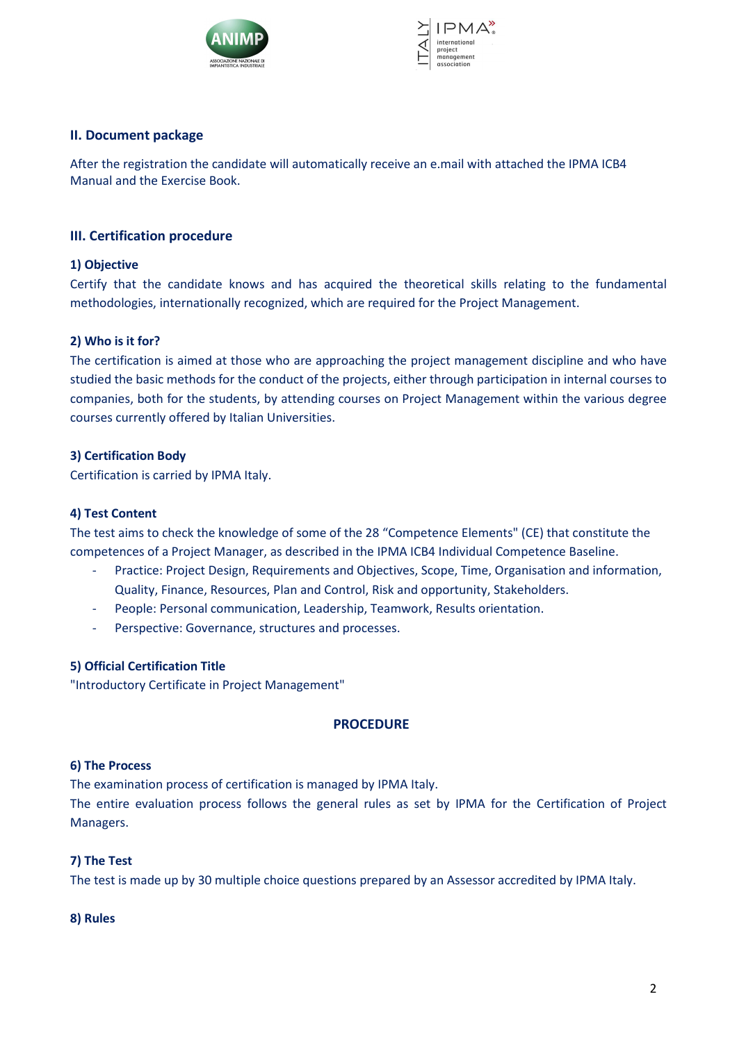



# **II. Document package**

After the registration the candidate will automatically receive an e.mail with attached the IPMA ICB4 Manual and the Exercise Book.

### **III. Certification procedure**

## **1) Objective**

Certify that the candidate knows and has acquired the theoretical skills relating to the fundamental methodologies, internationally recognized, which are required for the Project Management.

# **2) Who is it for?**

The certification is aimed at those who are approaching the project management discipline and who have studied the basic methods for the conduct of the projects, either through participation in internal courses to companies, both for the students, by attending courses on Project Management within the various degree courses currently offered by Italian Universities.

# **3) Certification Body**

Certification is carried by IPMA Italy.

# **4) Test Content**

The test aims to check the knowledge of some of the 28 "Competence Elements" (CE) that constitute the competences of a Project Manager, as described in the IPMA ICB4 Individual Competence Baseline.

- Practice: Project Design, Requirements and Objectives, Scope, Time, Organisation and information, Quality, Finance, Resources, Plan and Control, Risk and opportunity, Stakeholders.
- People: Personal communication, Leadership, Teamwork, Results orientation.
- Perspective: Governance, structures and processes.

#### **5) Official Certification Title**

"Introductory Certificate in Project Management"

# **PROCEDURE**

#### **6) The Process**

The examination process of certification is managed by IPMA Italy.

The entire evaluation process follows the general rules as set by IPMA for the Certification of Project Managers.

#### **7) The Test**

The test is made up by 30 multiple choice questions prepared by an Assessor accredited by IPMA Italy.

#### **8) Rules**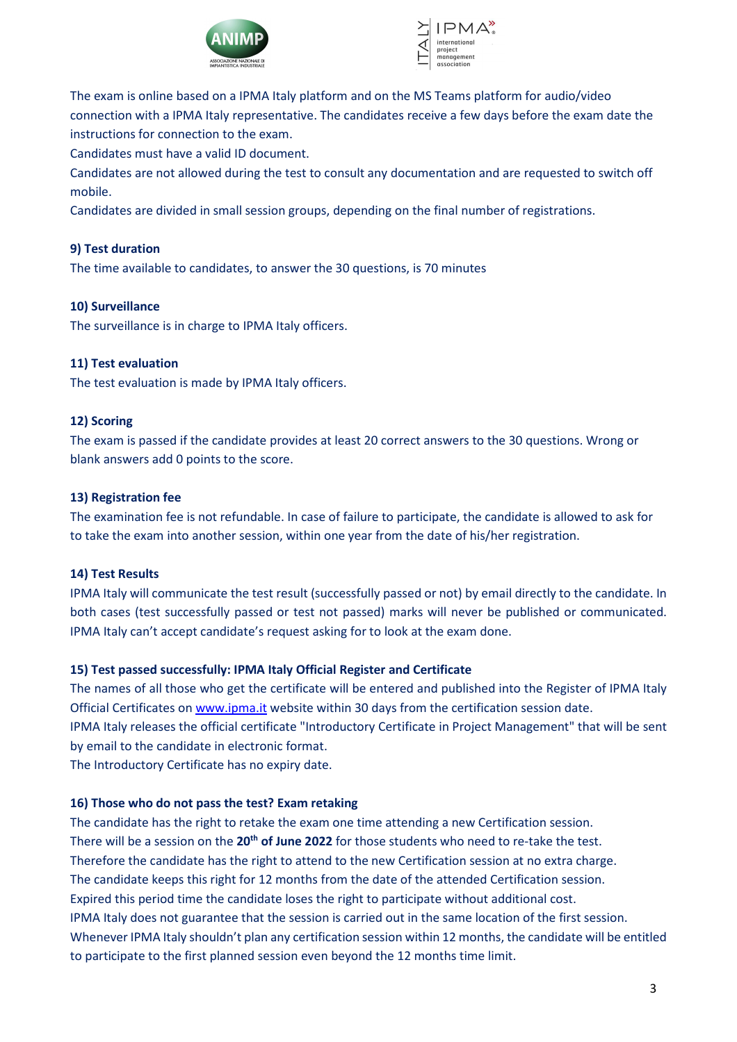



The exam is online based on a IPMA Italy platform and on the MS Teams platform for audio/video connection with a IPMA Italy representative. The candidates receive a few days before the exam date the instructions for connection to the exam.

Candidates must have a valid ID document.

Candidates are not allowed during the test to consult any documentation and are requested to switch off mobile.

Candidates are divided in small session groups, depending on the final number of registrations.

# **9) Test duration**

The time available to candidates, to answer the 30 questions, is 70 minutes

#### **10) Surveillance**

The surveillance is in charge to IPMA Italy officers.

#### **11) Test evaluation**

The test evaluation is made by IPMA Italy officers.

#### **12) Scoring**

The exam is passed if the candidate provides at least 20 correct answers to the 30 questions. Wrong or blank answers add 0 points to the score.

#### **13) Registration fee**

The examination fee is not refundable. In case of failure to participate, the candidate is allowed to ask for to take the exam into another session, within one year from the date of his/her registration.

#### **14) Test Results**

IPMA Italy will communicate the test result (successfully passed or not) by email directly to the candidate. In both cases (test successfully passed or test not passed) marks will never be published or communicated. IPMA Italy can't accept candidate's request asking for to look at the exam done.

#### **15) Test passed successfully: IPMA Italy Official Register and Certificate**

The names of all those who get the certificate will be entered and published into the Register of IPMA Italy Official Certificates on www.ipma.it website within 30 days from the certification session date. IPMA Italy releases the official certificate "Introductory Certificate in Project Management" that will be sent by email to the candidate in electronic format.

The Introductory Certificate has no expiry date.

#### **16) Those who do not pass the test? Exam retaking**

The candidate has the right to retake the exam one time attending a new Certification session. There will be a session on the **20th of June 2022** for those students who need to re-take the test. Therefore the candidate has the right to attend to the new Certification session at no extra charge. The candidate keeps this right for 12 months from the date of the attended Certification session. Expired this period time the candidate loses the right to participate without additional cost. IPMA Italy does not guarantee that the session is carried out in the same location of the first session. Whenever IPMA Italy shouldn't plan any certification session within 12 months, the candidate will be entitled to participate to the first planned session even beyond the 12 months time limit.